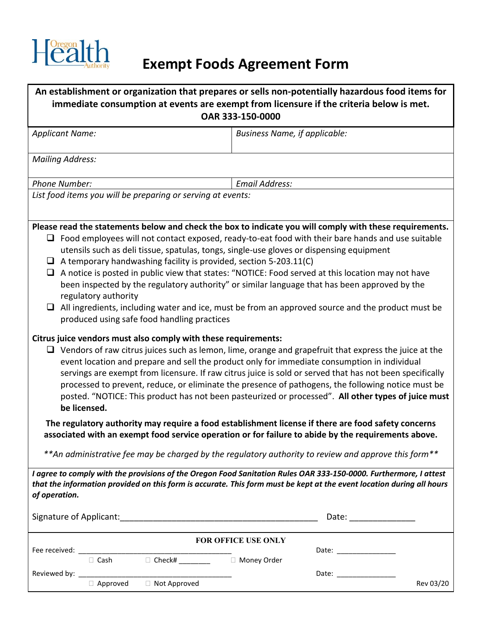

## **Exempt Foods Agreement Form**

| <b>Business Name, if applicable:</b><br><b>Applicant Name:</b><br><b>Mailing Address:</b><br>Email Address:<br>Phone Number:<br>List food items you will be preparing or serving at events:<br>Please read the statements below and check the box to indicate you will comply with these requirements.<br>$\Box$ Food employees will not contact exposed, ready-to-eat food with their bare hands and use suitable<br>utensils such as deli tissue, spatulas, tongs, single-use gloves or dispensing equipment<br>$\Box$ A temporary handwashing facility is provided, section 5-203.11(C)<br>$\Box$ A notice is posted in public view that states: "NOTICE: Food served at this location may not have<br>been inspected by the regulatory authority" or similar language that has been approved by the<br>regulatory authority<br>$\Box$ All ingredients, including water and ice, must be from an approved source and the product must be<br>produced using safe food handling practices<br>Citrus juice vendors must also comply with these requirements:<br>$\Box$ Vendors of raw citrus juices such as lemon, lime, orange and grapefruit that express the juice at the<br>event location and prepare and sell the product only for immediate consumption in individual<br>servings are exempt from licensure. If raw citrus juice is sold or served that has not been specifically<br>processed to prevent, reduce, or eliminate the presence of pathogens, the following notice must be<br>posted. "NOTICE: This product has not been pasteurized or processed". All other types of juice must<br>be licensed.<br>The regulatory authority may require a food establishment license if there are food safety concerns<br>associated with an exempt food service operation or for failure to abide by the requirements above.<br>** An administrative fee may be charged by the regulatory authority to review and approve this form**<br>I agree to comply with the provisions of the Oregon Food Sanitation Rules OAR 333-150-0000. Furthermore, I attest<br>that the information provided on this form is accurate. This form must be kept at the event location during all hours<br>of operation.<br>Date: _________________<br><b>FOR OFFICE USE ONLY</b><br>□ Cash □ Check# _________ □ Money Order<br>Approved Not Approved<br>Rev 03/20 | An establishment or organization that prepares or sells non-potentially hazardous food items for<br>immediate consumption at events are exempt from licensure if the criteria below is met.<br>OAR 333-150-0000 |  |
|-------------------------------------------------------------------------------------------------------------------------------------------------------------------------------------------------------------------------------------------------------------------------------------------------------------------------------------------------------------------------------------------------------------------------------------------------------------------------------------------------------------------------------------------------------------------------------------------------------------------------------------------------------------------------------------------------------------------------------------------------------------------------------------------------------------------------------------------------------------------------------------------------------------------------------------------------------------------------------------------------------------------------------------------------------------------------------------------------------------------------------------------------------------------------------------------------------------------------------------------------------------------------------------------------------------------------------------------------------------------------------------------------------------------------------------------------------------------------------------------------------------------------------------------------------------------------------------------------------------------------------------------------------------------------------------------------------------------------------------------------------------------------------------------------------------------------------------------------------------------------------------------------------------------------------------------------------------------------------------------------------------------------------------------------------------------------------------------------------------------------------------------------------------------------------------------------------------------------------------------------------------------------------------------------------------------------------------------------------|-----------------------------------------------------------------------------------------------------------------------------------------------------------------------------------------------------------------|--|
|                                                                                                                                                                                                                                                                                                                                                                                                                                                                                                                                                                                                                                                                                                                                                                                                                                                                                                                                                                                                                                                                                                                                                                                                                                                                                                                                                                                                                                                                                                                                                                                                                                                                                                                                                                                                                                                                                                                                                                                                                                                                                                                                                                                                                                                                                                                                                       |                                                                                                                                                                                                                 |  |
|                                                                                                                                                                                                                                                                                                                                                                                                                                                                                                                                                                                                                                                                                                                                                                                                                                                                                                                                                                                                                                                                                                                                                                                                                                                                                                                                                                                                                                                                                                                                                                                                                                                                                                                                                                                                                                                                                                                                                                                                                                                                                                                                                                                                                                                                                                                                                       |                                                                                                                                                                                                                 |  |
|                                                                                                                                                                                                                                                                                                                                                                                                                                                                                                                                                                                                                                                                                                                                                                                                                                                                                                                                                                                                                                                                                                                                                                                                                                                                                                                                                                                                                                                                                                                                                                                                                                                                                                                                                                                                                                                                                                                                                                                                                                                                                                                                                                                                                                                                                                                                                       |                                                                                                                                                                                                                 |  |
|                                                                                                                                                                                                                                                                                                                                                                                                                                                                                                                                                                                                                                                                                                                                                                                                                                                                                                                                                                                                                                                                                                                                                                                                                                                                                                                                                                                                                                                                                                                                                                                                                                                                                                                                                                                                                                                                                                                                                                                                                                                                                                                                                                                                                                                                                                                                                       |                                                                                                                                                                                                                 |  |
|                                                                                                                                                                                                                                                                                                                                                                                                                                                                                                                                                                                                                                                                                                                                                                                                                                                                                                                                                                                                                                                                                                                                                                                                                                                                                                                                                                                                                                                                                                                                                                                                                                                                                                                                                                                                                                                                                                                                                                                                                                                                                                                                                                                                                                                                                                                                                       |                                                                                                                                                                                                                 |  |
|                                                                                                                                                                                                                                                                                                                                                                                                                                                                                                                                                                                                                                                                                                                                                                                                                                                                                                                                                                                                                                                                                                                                                                                                                                                                                                                                                                                                                                                                                                                                                                                                                                                                                                                                                                                                                                                                                                                                                                                                                                                                                                                                                                                                                                                                                                                                                       |                                                                                                                                                                                                                 |  |
|                                                                                                                                                                                                                                                                                                                                                                                                                                                                                                                                                                                                                                                                                                                                                                                                                                                                                                                                                                                                                                                                                                                                                                                                                                                                                                                                                                                                                                                                                                                                                                                                                                                                                                                                                                                                                                                                                                                                                                                                                                                                                                                                                                                                                                                                                                                                                       |                                                                                                                                                                                                                 |  |
|                                                                                                                                                                                                                                                                                                                                                                                                                                                                                                                                                                                                                                                                                                                                                                                                                                                                                                                                                                                                                                                                                                                                                                                                                                                                                                                                                                                                                                                                                                                                                                                                                                                                                                                                                                                                                                                                                                                                                                                                                                                                                                                                                                                                                                                                                                                                                       |                                                                                                                                                                                                                 |  |
|                                                                                                                                                                                                                                                                                                                                                                                                                                                                                                                                                                                                                                                                                                                                                                                                                                                                                                                                                                                                                                                                                                                                                                                                                                                                                                                                                                                                                                                                                                                                                                                                                                                                                                                                                                                                                                                                                                                                                                                                                                                                                                                                                                                                                                                                                                                                                       |                                                                                                                                                                                                                 |  |
|                                                                                                                                                                                                                                                                                                                                                                                                                                                                                                                                                                                                                                                                                                                                                                                                                                                                                                                                                                                                                                                                                                                                                                                                                                                                                                                                                                                                                                                                                                                                                                                                                                                                                                                                                                                                                                                                                                                                                                                                                                                                                                                                                                                                                                                                                                                                                       |                                                                                                                                                                                                                 |  |
|                                                                                                                                                                                                                                                                                                                                                                                                                                                                                                                                                                                                                                                                                                                                                                                                                                                                                                                                                                                                                                                                                                                                                                                                                                                                                                                                                                                                                                                                                                                                                                                                                                                                                                                                                                                                                                                                                                                                                                                                                                                                                                                                                                                                                                                                                                                                                       |                                                                                                                                                                                                                 |  |
|                                                                                                                                                                                                                                                                                                                                                                                                                                                                                                                                                                                                                                                                                                                                                                                                                                                                                                                                                                                                                                                                                                                                                                                                                                                                                                                                                                                                                                                                                                                                                                                                                                                                                                                                                                                                                                                                                                                                                                                                                                                                                                                                                                                                                                                                                                                                                       |                                                                                                                                                                                                                 |  |
|                                                                                                                                                                                                                                                                                                                                                                                                                                                                                                                                                                                                                                                                                                                                                                                                                                                                                                                                                                                                                                                                                                                                                                                                                                                                                                                                                                                                                                                                                                                                                                                                                                                                                                                                                                                                                                                                                                                                                                                                                                                                                                                                                                                                                                                                                                                                                       |                                                                                                                                                                                                                 |  |